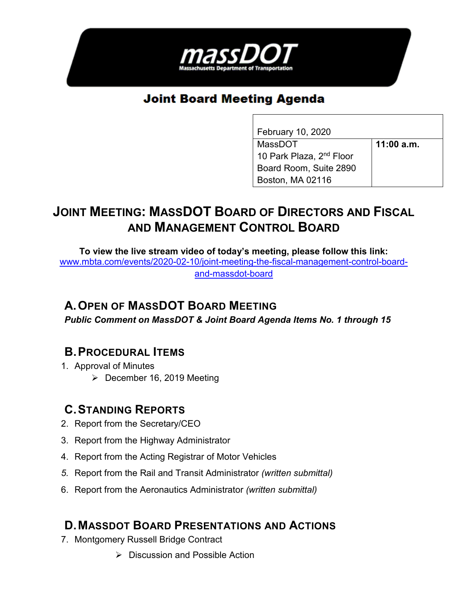

# **Joint Board Meeting Agenda**

| February 10, 2020                    |              |
|--------------------------------------|--------------|
| MassDOT                              | $11:00$ a.m. |
| 10 Park Plaza, 2 <sup>nd</sup> Floor |              |
| Board Room, Suite 2890               |              |
| Boston, MA 02116                     |              |

# **JOINT MEETING: MASSDOT BOARD OF DIRECTORS AND FISCAL AND MANAGEMENT CONTROL BOARD**

**To view the live stream video of today's meeting, please follow this link:**  [www.mbta.com/events/2020-02-10/joint-meeting-the-fiscal-management-control-board](http://www.mbta.com/events/2020-02-10/joint-meeting-the-fiscal-management-control-board-and-massdot-board)[and-massdot-board](http://www.mbta.com/events/2020-02-10/joint-meeting-the-fiscal-management-control-board-and-massdot-board)

### **A. OPEN OF MASSDOT BOARD MEETING**

*Public Comment on MassDOT & Joint Board Agenda Items No. 1 through 15*

### **B. PROCEDURAL ITEMS**

- 1. Approval of Minutes
	- $\triangleright$  December 16, 2019 Meeting

#### **C. STANDING REPORTS**

- 2. Report from the Secretary/CEO
- 3. Report from the Highway Administrator
- 4. Report from the Acting Registrar of Motor Vehicles
- *5.* Report from the Rail and Transit Administrator *(written submittal)*
- 6. Report from the Aeronautics Administrator *(written submittal)*

#### **D. MASSDOT BOARD PRESENTATIONS AND ACTIONS**

- 7. Montgomery Russell Bridge Contract
	- $\triangleright$  Discussion and Possible Action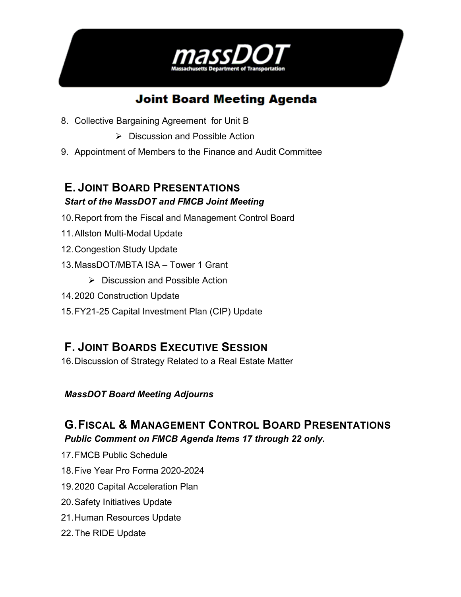

# **Joint Board Meeting Agenda**

- 8. Collective Bargaining Agreement for Unit B
	- $\triangleright$  Discussion and Possible Action
- 9. Appointment of Members to the Finance and Audit Committee

#### **E. JOINT BOARD PRESENTATIONS** *Start of the MassDOT and FMCB Joint Meeting*

- 10.Report from the Fiscal and Management Control Board
- 11.Allston Multi-Modal Update
- 12.Congestion Study Update
- 13.MassDOT/MBTA ISA Tower 1 Grant
	- $\triangleright$  Discussion and Possible Action
- 14.2020 Construction Update
- 15.FY21-25 Capital Investment Plan (CIP) Update

## **F. JOINT BOARDS EXECUTIVE SESSION**

16.Discussion of Strategy Related to a Real Estate Matter

#### *MassDOT Board Meeting Adjourns*

# **G. FISCAL & MANAGEMENT CONTROL BOARD PRESENTATIONS**

- *Public Comment on FMCB Agenda Items 17 through 22 only.*
- 17.FMCB Public Schedule
- 18.Five Year Pro Forma 2020-2024
- 19.2020 Capital Acceleration Plan
- 20.Safety Initiatives Update
- 21.Human Resources Update
- 22.The RIDE Update